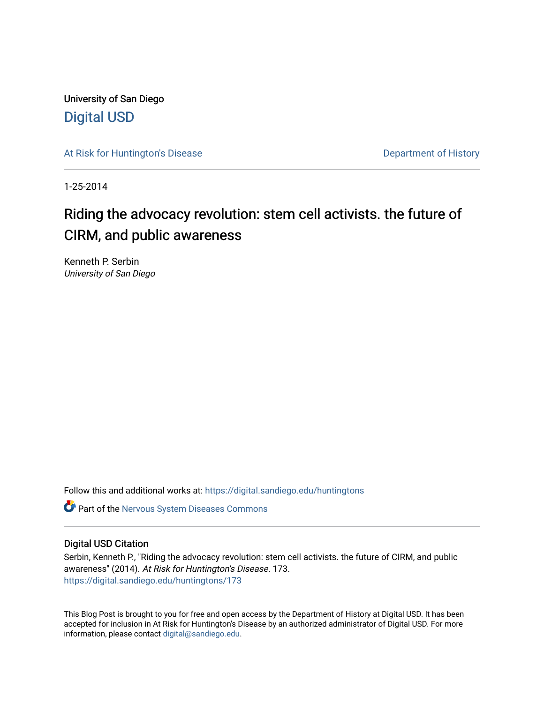University of San Diego [Digital USD](https://digital.sandiego.edu/)

[At Risk for Huntington's Disease](https://digital.sandiego.edu/huntingtons) **Department of History** Department of History

1-25-2014

# Riding the advocacy revolution: stem cell activists. the future of CIRM, and public awareness

Kenneth P. Serbin University of San Diego

Follow this and additional works at: [https://digital.sandiego.edu/huntingtons](https://digital.sandiego.edu/huntingtons?utm_source=digital.sandiego.edu%2Fhuntingtons%2F173&utm_medium=PDF&utm_campaign=PDFCoverPages)

**C** Part of the [Nervous System Diseases Commons](http://network.bepress.com/hgg/discipline/928?utm_source=digital.sandiego.edu%2Fhuntingtons%2F173&utm_medium=PDF&utm_campaign=PDFCoverPages)

## Digital USD Citation

Serbin, Kenneth P., "Riding the advocacy revolution: stem cell activists. the future of CIRM, and public awareness" (2014). At Risk for Huntington's Disease. 173. [https://digital.sandiego.edu/huntingtons/173](https://digital.sandiego.edu/huntingtons/173?utm_source=digital.sandiego.edu%2Fhuntingtons%2F173&utm_medium=PDF&utm_campaign=PDFCoverPages)

This Blog Post is brought to you for free and open access by the Department of History at Digital USD. It has been accepted for inclusion in At Risk for Huntington's Disease by an authorized administrator of Digital USD. For more information, please contact [digital@sandiego.edu.](mailto:digital@sandiego.edu)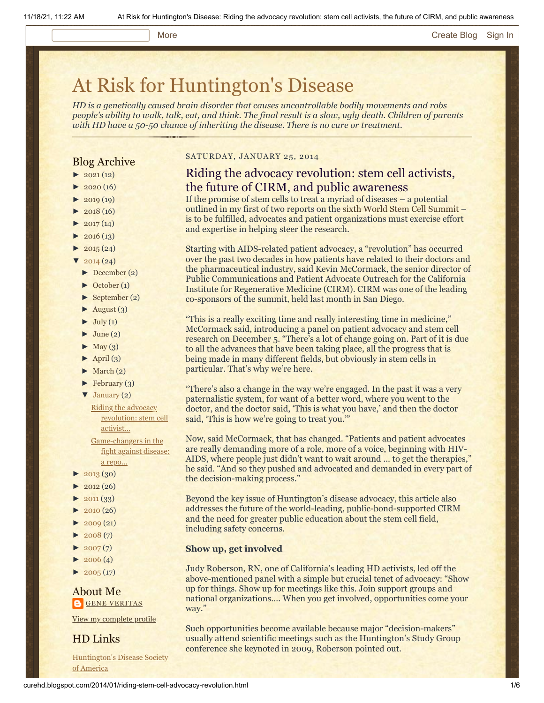#### More **[Create Blog](https://www.blogger.com/home#create) [Sign In](https://www.blogger.com/)**

# [At Risk for Huntington's Disease](http://curehd.blogspot.com/)

*HD is a genetically caused brain disorder that causes uncontrollable bodily movements and robs people's ability to walk, talk, eat, and think. The final result is a slow, ugly death. Children of parents with HD have a 50-50 chance of inheriting the disease. There is no cure or treatment.*

## Blog Archive

- $\blacktriangleright$  [2021](http://curehd.blogspot.com/2021/) (12)
- $2020(16)$  $2020(16)$
- $2019(19)$  $2019(19)$
- $\blacktriangleright$  [2018](http://curehd.blogspot.com/2018/) (16)
- $2017(14)$  $2017(14)$
- $2016(13)$  $2016(13)$
- $\blacktriangleright$  [2015](http://curehd.blogspot.com/2015/) (24)
- $\sqrt{2014(24)}$  $\sqrt{2014(24)}$  $\sqrt{2014(24)}$
- [►](javascript:void(0)) [December](http://curehd.blogspot.com/2014/12/) (2)
- [►](javascript:void(0)) [October](http://curehd.blogspot.com/2014/10/) (1)
- [►](javascript:void(0)) [September](http://curehd.blogspot.com/2014/09/) (2)
- $\blacktriangleright$  [August](http://curehd.blogspot.com/2014/08/) (3)
- $\blacktriangleright$  [July](http://curehd.blogspot.com/2014/07/) (1)
- $\blacktriangleright$  [June](http://curehd.blogspot.com/2014/06/) (2)
- $\blacktriangleright$  [May](http://curehd.blogspot.com/2014/05/) (3)
- $\blacktriangleright$  [April](http://curehd.blogspot.com/2014/04/) (3)
- $\blacktriangleright$  [March](http://curehd.blogspot.com/2014/03/) (2)
- $\blacktriangleright$  [February](http://curehd.blogspot.com/2014/02/) (3)
- [▼](javascript:void(0)) [January](http://curehd.blogspot.com/2014/01/) (2)
	- Riding the advocacy [revolution:](http://curehd.blogspot.com/2014/01/riding-stem-cell-advocacy-revolution.html) stem cell activist...

[Game-changers](http://curehd.blogspot.com/2014/01/game-changers-in-fight-against-disease.html) in the fight against disease: a repo...

- $\blacktriangleright$  [2013](http://curehd.blogspot.com/2013/) (30)
- $\blacktriangleright$  [2012](http://curehd.blogspot.com/2012/) (26)
- $2011(33)$  $2011(33)$
- $\blacktriangleright$  [2010](http://curehd.blogspot.com/2010/) (26)
- $\blacktriangleright$  [2009](http://curehd.blogspot.com/2009/) (21)
- $\blacktriangleright$  [2008](http://curehd.blogspot.com/2008/) $(7)$
- $\blacktriangleright$  [2007](http://curehd.blogspot.com/2007/) $(7)$
- $\blacktriangleright$  [2006](http://curehd.blogspot.com/2006/) (4)
- $\blacktriangleright$  [2005](http://curehd.blogspot.com/2005/) (17)

About Me **GENE [VERITAS](https://www.blogger.com/profile/10911736205741688185)** 

View my [complete](https://www.blogger.com/profile/10911736205741688185) profile

HD Links

[Huntington's](http://www.hdsa.org/) Disease Society of America

### SATURDAY, JANUARY 25, 2014

## Riding the advocacy revolution: stem cell activists, the future of CIRM, and public awareness

If the promise of stem cells to treat a myriad of diseases – a potential outlined in my first of two reports on the [sixth World Stem Cell Summit](http://www.curehd.blogspot.com/2014/01/game-changers-in-fight-against-disease.html) – is to be fulfilled, advocates and patient organizations must exercise effort and expertise in helping steer the research.

Starting with AIDS-related patient advocacy, a "revolution" has occurred over the past two decades in how patients have related to their doctors and the pharmaceutical industry, said Kevin McCormack, the senior director of Public Communications and Patient Advocate Outreach for the California Institute for Regenerative Medicine (CIRM). CIRM was one of the leading co-sponsors of the summit, held last month in San Diego.

"This is a really exciting time and really interesting time in medicine," McCormack said, introducing a panel on patient advocacy and stem cell research on December 5. "There's a lot of change going on. Part of it is due to all the advances that have been taking place, all the progress that is being made in many different fields, but obviously in stem cells in particular. That's why we're here.

"There's also a change in the way we're engaged. In the past it was a very paternalistic system, for want of a better word, where you went to the doctor, and the doctor said, 'This is what you have,' and then the doctor said, 'This is how we're going to treat you.'"

Now, said McCormack, that has changed. "Patients and patient advocates are really demanding more of a role, more of a voice, beginning with HIV-AIDS, where people just didn't want to wait around ... to get the therapies," he said. "And so they pushed and advocated and demanded in every part of the decision-making process."

Beyond the key issue of Huntington's disease advocacy, this article also addresses the future of the world-leading, public-bond-supported CIRM and the need for greater public education about the stem cell field, including safety concerns.

### **Show up, get involved**

Judy Roberson, RN, one of California's leading HD activists, led off the above-mentioned panel with a simple but crucial tenet of advocacy: "Show up for things. Show up for meetings like this. Join support groups and national organizations…. When you get involved, opportunities come your way."

Such opportunities become available because major "decision-makers" usually attend scientific meetings such as the Huntington's Study Group conference she keynoted in 2009, Roberson pointed out.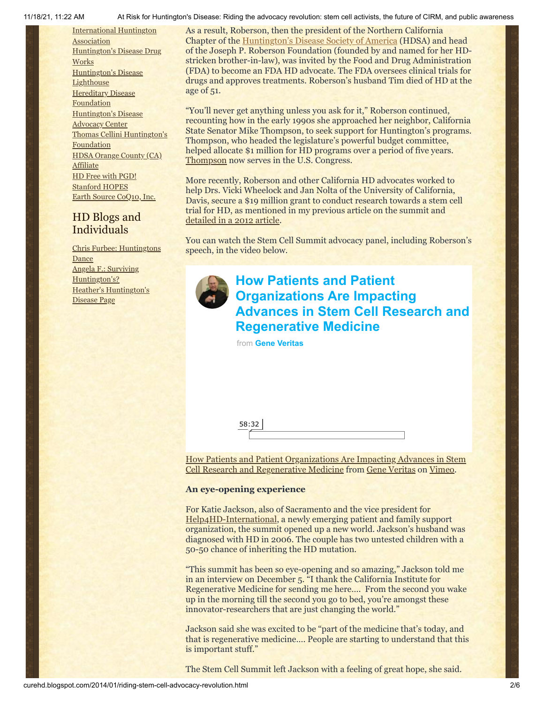[International](http://www.huntington-assoc.com/) Huntington **Association** [Huntington's](http://hddrugworks.org/) Disease Drug **Works** [Huntington's](http://www.hdlighthouse.org/) Disease **Lighthouse [Hereditary](http://www.hdfoundation.org/) Disease Foundation** [Huntington's](http://www.hdac.org/) Disease Advocacy Center Thomas [Cellini Huntington's](http://www.ourtchfoundation.org/) **Foundation** HDSA Orange County (CA) **[Affiliate](http://www.hdsaoc.org/)** HD Free with [PGD!](http://www.hdfreewithpgd.com/) [Stanford](http://www.stanford.edu/group/hopes/) HOPES Earth Source [CoQ10,](http://www.escoq10.com/) Inc.

## HD Blogs and Individuals

Chris Furbee: [Huntingtons](http://www.huntingtonsdance.org/) Dance Angela F.: Surviving [Huntington's?](http://survivinghuntingtons.blogspot.com/) Heather's [Huntington's](http://heatherdugdale.angelfire.com/) Disease Page

11/18/21, 11:22 AM At Risk for Huntington's Disease: Riding the advocacy revolution: stem cell activists, the future of CIRM, and public awareness

As a result, Roberson, then the president of the Northern California Chapter of the [Huntington's Disease Society of America](http://www.hdsa.org/) (HDSA) and head of the Joseph P. Roberson Foundation (founded by and named for her HDstricken brother-in-law), was invited by the Food and Drug Administration (FDA) to become an FDA HD advocate. The FDA oversees clinical trials for drugs and approves treatments. Roberson's husband Tim died of HD at the age of 51.

"You'll never get anything unless you ask for it," Roberson continued, recounting how in the early 1990s she approached her neighbor, California State Senator Mike Thompson, to seek support for Huntington's programs. Thompson, who headed the legislature's powerful budget committee, helped allocate \$1 million for HD programs over a period of five years. [Thompson](http://mikethompson.house.gov/biography/) now serves in the U.S. Congress.

More recently, Roberson and other California HD advocates worked to help Drs. Vicki Wheelock and Jan Nolta of the University of California, Davis, secure a \$19 million grant to conduct research towards a stem cell trial for HD, as mentioned in my previous article on the summit and [detailed in a 2012 article.](http://www.curehd.blogspot.com/2012/08/california-stem-cell-agency-approves-19.html)

You can watch the Stem Cell Summit advocacy panel, including Roberson's speech, in the video below.



# **How Patients and Patient Organizations Are Impacting [Advances in Stem Cell Research and](https://vimeo.com/81221907?embedded=true&source=video_title&owner=6019843) Regenerative Medicine**

from **[Gene Veritas](https://vimeo.com/user6019843?embedded=true&source=owner_name&owner=6019843)**

| . .<br>гc |  |  |  |
|-----------|--|--|--|
|           |  |  |  |

[How Patients and Patient Organizations Are Impacting Advances in Stem](http://vimeo.com/81221907) Cell Research and Regenerative Medicine from [Gene Veritas](http://vimeo.com/user6019843) on [Vimeo](https://vimeo.com/).

## **An eye-opening experience**

For Katie Jackson, also of Sacramento and the vice president for [Help4HD-International,](http://help4hd-international.org/) a newly emerging patient and family support organization, the summit opened up a new world. Jackson's husband was diagnosed with HD in 2006. The couple has two untested children with a 50-50 chance of inheriting the HD mutation.

"This summit has been so eye-opening and so amazing," Jackson told me in an interview on December 5. "I thank the California Institute for Regenerative Medicine for sending me here…. From the second you wake up in the morning till the second you go to bed, you're amongst these innovator-researchers that are just changing the world."

Jackson said she was excited to be "part of the medicine that's today, and that is regenerative medicine…. People are starting to understand that this is important stuff."

The Stem Cell Summit left Jackson with a feeling of great hope, she said.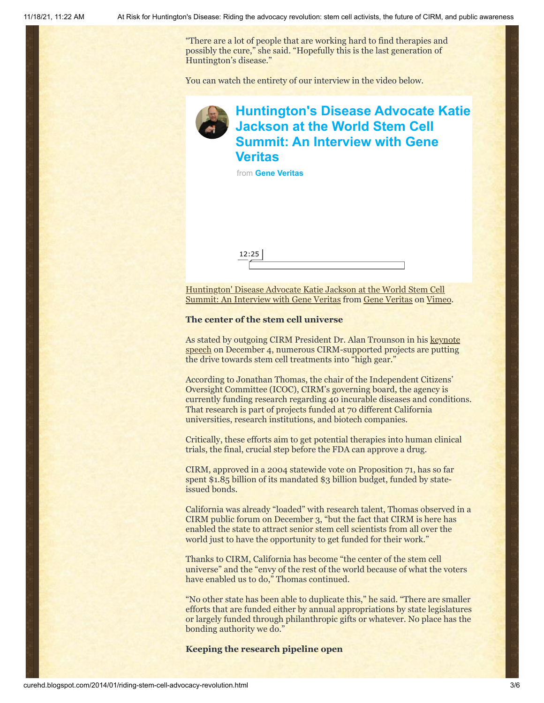"There are a lot of people that are working hard to find therapies and possibly the cure," she said. "Hopefully this is the last generation of Huntington's disease."

You can watch the entirety of our interview in the video below.

## **[Huntington's Disease Advocate Katie](https://vimeo.com/81250858?embedded=true&source=video_title&owner=6019843) Jackson at the World Stem Cell Summit: An Interview with Gene Veritas**

from **[Gene Veritas](https://vimeo.com/user6019843?embedded=true&source=owner_name&owner=6019843)**



Huntington' Disease Advocate Katie Jackson at the World Stem Cell [Summit: An Interview with Gene Veritas from Gene Veritas on Vim](http://vimeo.com/81250858)[eo](https://vimeo.com/).

## **The center of the stem cell universe**

As stated by outgoing CIRM President Dr. Alan Trounson in his keynote [speech on December 4, numerous CIRM-supported projects are putting](http://vimeo.com/81213920) the drive towards stem cell treatments into "high gear."

According to Jonathan Thomas, the chair of the Independent Citizens' Oversight Committee (ICOC), CIRM's governing board, the agency is currently funding research regarding 40 incurable diseases and conditions. That research is part of projects funded at 70 different California universities, research institutions, and biotech companies.

Critically, these efforts aim to get potential therapies into human clinical trials, the final, crucial step before the FDA can approve a drug.

CIRM, approved in a 2004 statewide vote on Proposition 71, has so far spent \$1.85 billion of its mandated \$3 billion budget, funded by stateissued bonds.

California was already "loaded" with research talent, Thomas observed in a CIRM public forum on December 3, "but the fact that CIRM is here has enabled the state to attract senior stem cell scientists from all over the world just to have the opportunity to get funded for their work."

Thanks to CIRM, California has become "the center of the stem cell universe" and the "envy of the rest of the world because of what the voters have enabled us to do," Thomas continued.

"No other state has been able to duplicate this," he said. "There are smaller efforts that are funded either by annual appropriations by state legislatures or largely funded through philanthropic gifts or whatever. No place has the bonding authority we do."

## **Keeping the research pipeline open**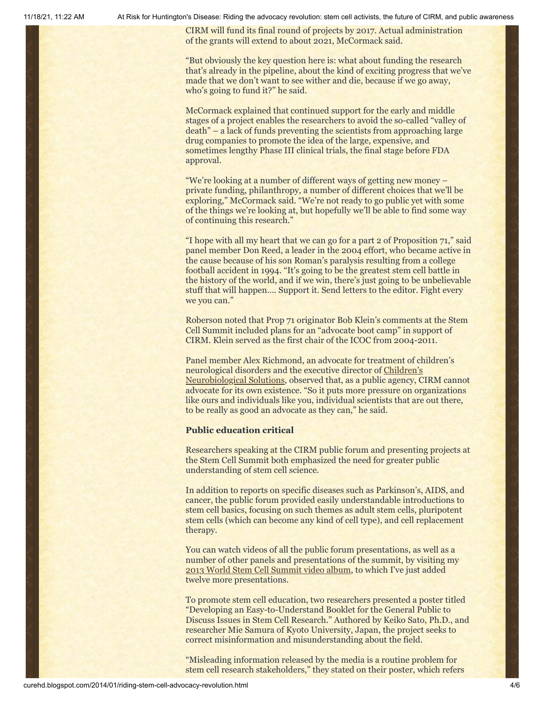11/18/21, 11:22 AM At Risk for Huntington's Disease: Riding the advocacy revolution: stem cell activists, the future of CIRM, and public awareness

CIRM will fund its final round of projects by 2017. Actual administration of the grants will extend to about 2021, McCormack said.

"But obviously the key question here is: what about funding the research that's already in the pipeline, about the kind of exciting progress that we've made that we don't want to see wither and die, because if we go away, who's going to fund it?" he said.

McCormack explained that continued support for the early and middle stages of a project enables the researchers to avoid the so-called "valley of death" – a lack of funds preventing the scientists from approaching large drug companies to promote the idea of the large, expensive, and sometimes lengthy Phase III clinical trials, the final stage before FDA approval.

"We're looking at a number of different ways of getting new money – private funding, philanthropy, a number of different choices that we'll be exploring," McCormack said. "We're not ready to go public yet with some of the things we're looking at, but hopefully we'll be able to find some way of continuing this research."

"I hope with all my heart that we can go for a part 2 of Proposition 71," said panel member Don Reed, a leader in the 2004 effort, who became active in the cause because of his son Roman's paralysis resulting from a college football accident in 1994. "It's going to be the greatest stem cell battle in the history of the world, and if we win, there's just going to be unbelievable stuff that will happen…. Support it. Send letters to the editor. Fight every we you can."

Roberson noted that Prop 71 originator Bob Klein's comments at the Stem Cell Summit included plans for an "advocate boot camp" in support of CIRM. Klein served as the first chair of the ICOC from 2004-2011.

Panel member Alex Richmond, an advocate for treatment of children's [neurological disorders and the executive director of Children's](http://cnsfoundation.org/) Neurobiological Solutions, observed that, as a public agency, CIRM cannot advocate for its own existence. "So it puts more pressure on organizations like ours and individuals like you, individual scientists that are out there, to be really as good an advocate as they can," he said.

## **Public education critical**

Researchers speaking at the CIRM public forum and presenting projects at the Stem Cell Summit both emphasized the need for greater public understanding of stem cell science.

In addition to reports on specific diseases such as Parkinson's, AIDS, and cancer, the public forum provided easily understandable introductions to stem cell basics, focusing on such themes as adult stem cells, pluripotent stem cells (which can become any kind of cell type), and cell replacement therapy.

You can watch videos of all the public forum presentations, as well as a number of other panels and presentations of the summit, by visiting my [2013 World Stem Cell Summit video album](http://vimeo.com/album/2687505), to which I've just added twelve more presentations.

To promote stem cell education, two researchers presented a poster titled "Developing an Easy-to-Understand Booklet for the General Public to Discuss Issues in Stem Cell Research." Authored by Keiko Sato, Ph.D., and researcher Mie Samura of Kyoto University, Japan, the project seeks to correct misinformation and misunderstanding about the field.

"Misleading information released by the media is a routine problem for stem cell research stakeholders," they stated on their poster, which refers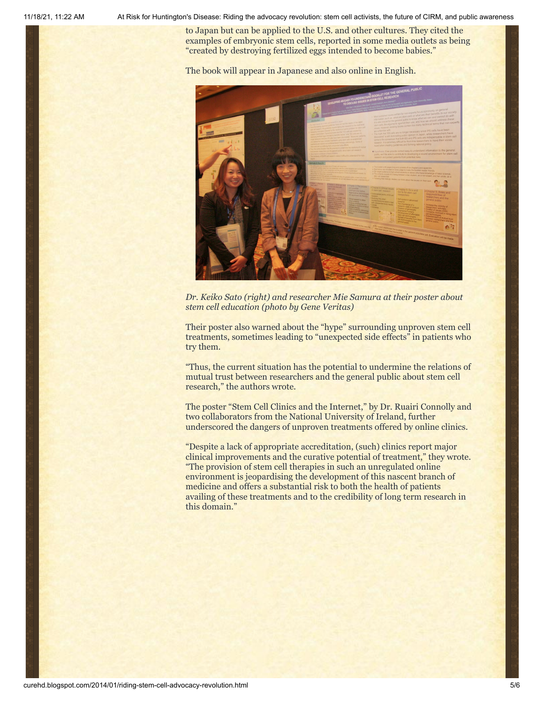11/18/21, 11:22 AM At Risk for Huntington's Disease: Riding the advocacy revolution: stem cell activists, the future of CIRM, and public awareness

to Japan but can be applied to the U.S. and other cultures. They cited the examples of embryonic stem cells, reported in some media outlets as being "created by destroying fertilized eggs intended to become babies."

The book will appear in Japanese and also online in English.



*Dr. Keiko Sato (right) and researcher Mie Samura at their poster about stem cell education (photo by Gene Veritas)*

Their poster also warned about the "hype" surrounding unproven stem cell treatments, sometimes leading to "unexpected side effects" in patients who try them.

"Thus, the current situation has the potential to undermine the relations of mutual trust between researchers and the general public about stem cell research," the authors wrote.

The poster "Stem Cell Clinics and the Internet," by Dr. Ruairi Connolly and two collaborators from the National University of Ireland, further underscored the dangers of unproven treatments offered by online clinics.

"Despite a lack of appropriate accreditation, (such) clinics report major clinical improvements and the curative potential of treatment," they wrote. "The provision of stem cell therapies in such an unregulated online environment is jeopardising the development of this nascent branch of medicine and offers a substantial risk to both the health of patients availing of these treatments and to the credibility of long term research in this domain."